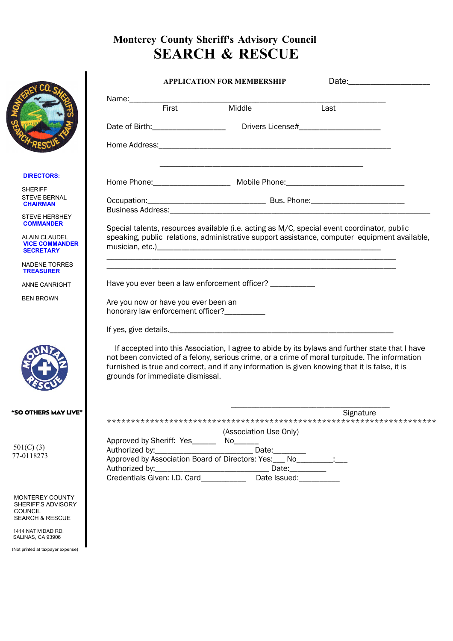## **Monterey County Sheriff's Advisory Council SEARCH & RESCUE**

|                                                                                       | <b>APPLICATION FOR MEMBERSHIP</b> |                                                                                                                                                                                                                                                                                                                                        |                                 |           |  |
|---------------------------------------------------------------------------------------|-----------------------------------|----------------------------------------------------------------------------------------------------------------------------------------------------------------------------------------------------------------------------------------------------------------------------------------------------------------------------------------|---------------------------------|-----------|--|
|                                                                                       |                                   |                                                                                                                                                                                                                                                                                                                                        |                                 |           |  |
|                                                                                       |                                   | Name: First Middle                                                                                                                                                                                                                                                                                                                     |                                 | Last      |  |
|                                                                                       |                                   |                                                                                                                                                                                                                                                                                                                                        |                                 |           |  |
|                                                                                       |                                   |                                                                                                                                                                                                                                                                                                                                        |                                 |           |  |
| <b>DIRECTORS:</b>                                                                     |                                   |                                                                                                                                                                                                                                                                                                                                        |                                 |           |  |
| <b>SHERIFF</b>                                                                        |                                   | Home Phone: _______________________ Mobile Phone: ______________________________                                                                                                                                                                                                                                                       |                                 |           |  |
| <b>STEVE BERNAL</b><br><b>CHAIRMAN</b>                                                |                                   |                                                                                                                                                                                                                                                                                                                                        |                                 |           |  |
| <b>STEVE HERSHEY</b>                                                                  |                                   |                                                                                                                                                                                                                                                                                                                                        |                                 |           |  |
| <b>COMMANDER</b><br><b>ALAIN CLAUDEL</b><br><b>VICE COMMANDER</b><br><b>SECRETARY</b> |                                   | Special talents, resources available (i.e. acting as M/C, special event coordinator, public<br>speaking, public relations, administrative support assistance, computer equipment available,                                                                                                                                            |                                 |           |  |
| <b>NADENE TORRES</b><br><b>TREASURER</b>                                              |                                   |                                                                                                                                                                                                                                                                                                                                        |                                 |           |  |
| ANNE CANRIGHT                                                                         |                                   | Have you ever been a law enforcement officer? ___________                                                                                                                                                                                                                                                                              |                                 |           |  |
| <b>BEN BROWN</b>                                                                      |                                   | Are you now or have you ever been an<br>honorary law enforcement officer?__________                                                                                                                                                                                                                                                    |                                 |           |  |
|                                                                                       |                                   |                                                                                                                                                                                                                                                                                                                                        |                                 |           |  |
|                                                                                       |                                   | If accepted into this Association, I agree to abide by its bylaws and further state that I have<br>not been convicted of a felony, serious crime, or a crime of moral turpitude. The information<br>furnished is true and correct, and if any information is given knowing that it is false, it is<br>grounds for immediate dismissal. |                                 |           |  |
| "SO OTHERS MAY LIVE'                                                                  |                                   |                                                                                                                                                                                                                                                                                                                                        |                                 | Signature |  |
| $501(C)$ (3)<br>77-0118273                                                            |                                   | Approved by Sheriff: Yes________ No______<br>Approved by Association Board of Directors: Yes: __ No_________: __                                                                                                                                                                                                                       | (Association Use Only)<br>Date: |           |  |
| MONTEREY COUNTY<br>SHERIFF'S ADVISORY<br><b>COUNCIL</b><br><b>SEARCH &amp; RESCUE</b> |                                   |                                                                                                                                                                                                                                                                                                                                        |                                 |           |  |

1414 NATIVIDAD RD. SALINAS, CA 93906

(Not printed at taxpayer expense)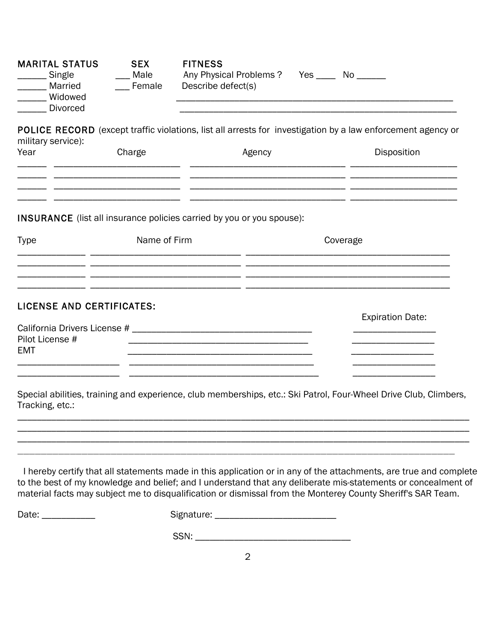| <b>MARITAL STATUS</b><br>Single<br>Married<br>Widowed<br>Divorced            | <b>SEX</b><br>Male<br>__ Female                                                                                                       | <b>FITNESS</b><br>Describe defect(s) | Any Physical Problems ? Yes _____ No ______                                                                           |  |                                                                                                                            |  |
|------------------------------------------------------------------------------|---------------------------------------------------------------------------------------------------------------------------------------|--------------------------------------|-----------------------------------------------------------------------------------------------------------------------|--|----------------------------------------------------------------------------------------------------------------------------|--|
| military service):<br>Year                                                   | Charge                                                                                                                                |                                      | Agency                                                                                                                |  | POLICE RECORD (except traffic violations, list all arrests for investigation by a law enforcement agency or<br>Disposition |  |
| <b>INSURANCE</b> (list all insurance policies carried by you or you spouse): |                                                                                                                                       |                                      | <u> 1980 - Jan Barbara, martin da shekara 1980 - An tsa a tsa a tsa a tsa a tsa a tsa a tsa a tsa a tsa a tsa a t</u> |  |                                                                                                                            |  |
| <b>Type</b>                                                                  | Name of Firm<br><u> 1980 - Johann Barbara, martxa alemaniar amerikan basar da da a shekara a shekara a shekara a shekara a shekar</u> |                                      | Coverage                                                                                                              |  |                                                                                                                            |  |
| LICENSE AND CERTIFICATES:<br>Pilot License #<br><b>EMT</b>                   |                                                                                                                                       |                                      |                                                                                                                       |  | <b>Expiration Date:</b>                                                                                                    |  |
| Tracking, etc.:                                                              |                                                                                                                                       |                                      |                                                                                                                       |  | Special abilities, training and experience, club memberships, etc.: Ski Patrol, Four-Wheel Drive Club, Climbers,           |  |
|                                                                              |                                                                                                                                       |                                      |                                                                                                                       |  | I hereby certify that all statements made in this application or in any of the attachments, are true and complete          |  |

to the best of my knowledge and belief; and I understand that any deliberate mis-statements or concealment of material facts may subject me to disqualification or dismissal from the Monterey County Sheriff's SAR Team.

Date: \_\_\_\_\_\_\_\_\_\_\_ Signature: \_\_\_\_\_\_\_\_\_\_\_\_\_\_\_\_\_\_\_\_\_\_\_\_\_ SSN: \_\_\_\_\_\_\_\_\_\_\_\_\_\_\_\_\_\_\_\_\_\_\_\_\_\_\_\_\_\_\_\_

2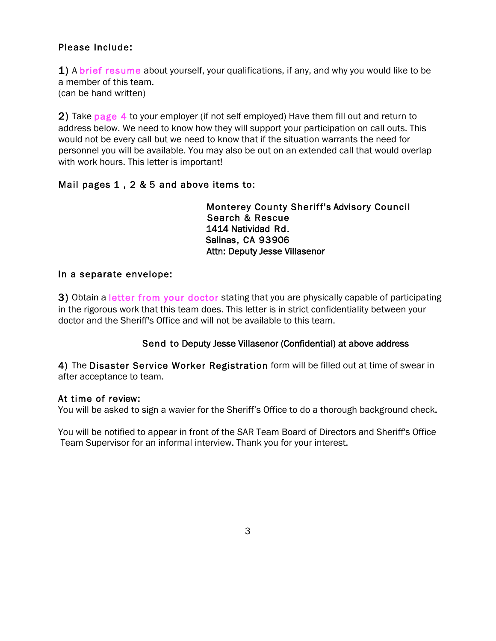### Please Include:

1) A brief resume about yourself, your qualifications, if any, and why you would like to be a member of this team. (can be hand written)

2) Take page 4 to your employer (if not self employed) Have them fill out and return to address below. We need to know how they will support your participation on call outs. This would not be every call but we need to know that if the situation warrants the need for personnel you will be available. You may also be out on an extended call that would overlap with work hours. This letter is important!

#### Mail pages 1, 2 & 5 and above items to:

 Monterey County Sheriff's Advisory Council Search & Rescue 1414 Natividad Rd. Salinas, CA 93906 Attn: Deputy Jesse Villasenor

#### In a separate envelope:

3) Obtain a letter from your doctor stating that you are physically capable of participating in the rigorous work that this team does. This letter is in strict confidentiality between your doctor and the Sheriff's Office and will not be available to this team.

#### Send to Deputy Jesse Villasenor (Confidential) at above address

4) The Disaster Service Worker Registration form will be filled out at time of swear in after acceptance to team.

#### At time of review:

You will be asked to sign a wavier for the Sheriff's Office to do a thorough background check.

You will be notified to appear in front of the SAR Team Board of Directors and Sheriff's Office Team Supervisor for an informal interview. Thank you for your interest.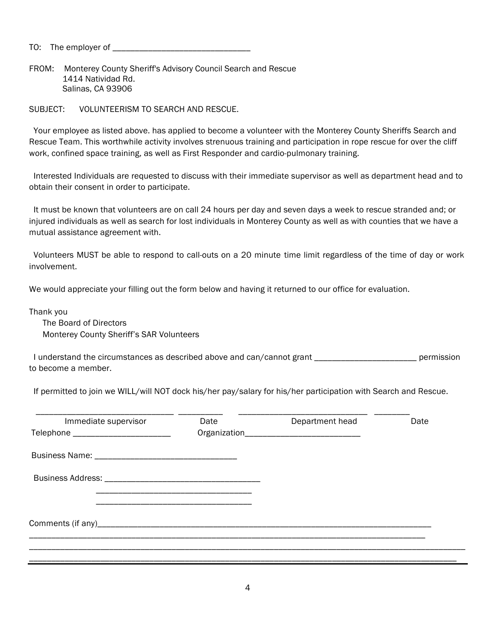TO: The employer of \_\_\_\_\_\_\_\_\_\_\_\_\_\_\_\_\_\_\_\_\_\_\_\_\_\_\_\_\_\_\_

FROM: Monterey County Sheriff's Advisory Council Search and Rescue 1414 Natividad Rd. Salinas, CA 93906

SUBJECT: VOLUNTEERISM TO SEARCH AND RESCUE.

 Your employee as listed above. has applied to become a volunteer with the Monterey County Sheriffs Search and Rescue Team. This worthwhile activity involves strenuous training and participation in rope rescue for over the cliff work, confined space training, as well as First Responder and cardio-pulmonary training.

 Interested Individuals are requested to discuss with their immediate supervisor as well as department head and to obtain their consent in order to participate.

 It must be known that volunteers are on call 24 hours per day and seven days a week to rescue stranded and; or injured individuals as well as search for lost individuals in Monterey County as well as with counties that we have a mutual assistance agreement with.

 Volunteers MUST be able to respond to call-outs on a 20 minute time limit regardless of the time of day or work involvement.

We would appreciate your filling out the form below and having it returned to our office for evaluation.

Thank you The Board of Directors Monterey County Sheriff's SAR Volunteers

I understand the circumstances as described above and can/cannot grant \_\_\_\_\_\_\_\_\_\_\_\_\_\_\_\_\_\_\_\_\_\_\_\_\_\_\_ permission to become a member.

If permitted to join we WILL/will NOT dock his/her pay/salary for his/her participation with Search and Rescue.

| Immediate supervisor<br>Telephone ___________________________ | Date | Department head | Date |
|---------------------------------------------------------------|------|-----------------|------|
|                                                               |      |                 |      |
|                                                               |      |                 |      |
|                                                               |      |                 |      |
|                                                               |      |                 |      |
|                                                               |      |                 |      |
|                                                               |      |                 |      |